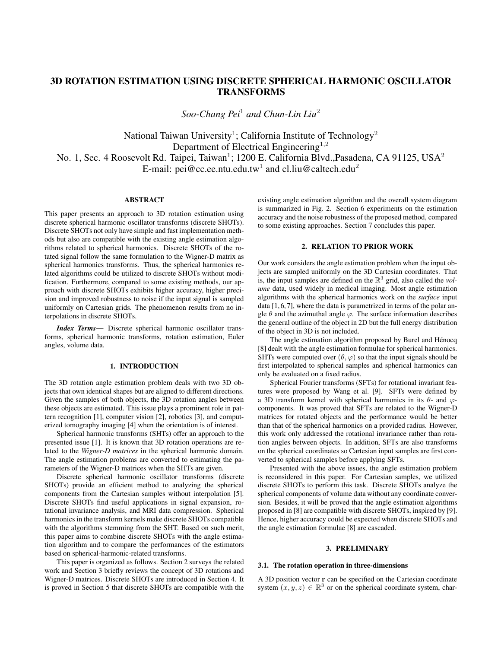# 3D ROTATION ESTIMATION USING DISCRETE SPHERICAL HARMONIC OSCILLATOR TRANSFORMS

*Soo-Chang Pei*<sup>1</sup> *and Chun-Lin Liu*<sup>2</sup>

National Taiwan University<sup>1</sup>; California Institute of Technology<sup>2</sup> Department of Electrical Engineering<sup>1,2</sup> No. 1, Sec. 4 Roosevolt Rd. Taipei, Taiwan<sup>1</sup>; 1200 E. California Blvd., Pasadena, CA 91125, USA<sup>2</sup> E-mail: pei@cc.ee.ntu.edu.tw<sup>1</sup> and cl.liu@caltech.edu<sup>2</sup>

# ABSTRACT

This paper presents an approach to 3D rotation estimation using discrete spherical harmonic oscillator transforms (discrete SHOTs). Discrete SHOTs not only have simple and fast implementation methods but also are compatible with the existing angle estimation algorithms related to spherical harmonics. Discrete SHOTs of the rotated signal follow the same formulation to the Wigner-D matrix as spherical harmonics transforms. Thus, the spherical harmonics related algorithms could be utilized to discrete SHOTs without modification. Furthermore, compared to some existing methods, our approach with discrete SHOTs exhibits higher accuracy, higher precision and improved robustness to noise if the input signal is sampled uniformly on Cartesian grids. The phenomenon results from no interpolations in discrete SHOTs.

*Index Terms*— Discrete spherical harmonic oscillator transforms, spherical harmonic transforms, rotation estimation, Euler angles, volume data.

## 1. INTRODUCTION

The 3D rotation angle estimation problem deals with two 3D objects that own identical shapes but are aligned to different directions. Given the samples of both objects, the 3D rotation angles between these objects are estimated. This issue plays a prominent role in pattern recognition [1], computer vision [2], robotics [3], and computerized tomography imaging [4] when the orientation is of interest.

Spherical harmonic transforms (SHTs) offer an approach to the presented issue [1]. It is known that 3D rotation operations are related to the *Wigner-D matrices* in the spherical harmonic domain. The angle estimation problems are converted to estimating the parameters of the Wigner-D matrices when the SHTs are given.

Discrete spherical harmonic oscillator transforms (discrete SHOTs) provide an efficient method to analyzing the spherical components from the Cartesian samples without interpolation [5]. Discrete SHOTs find useful applications in signal expansion, rotational invariance analysis, and MRI data compression. Spherical harmonics in the transform kernels make discrete SHOTs compatible with the algorithms stemming from the SHT. Based on such merit, this paper aims to combine discrete SHOTs with the angle estimation algorithm and to compare the performances of the estimators based on spherical-harmonic-related transforms.

This paper is organized as follows. Section 2 surveys the related work and Section 3 briefly reviews the concept of 3D rotations and Wigner-D matrices. Discrete SHOTs are introduced in Section 4. It is proved in Section 5 that discrete SHOTs are compatible with the

existing angle estimation algorithm and the overall system diagram is summarized in Fig. 2. Section 6 experiments on the estimation accuracy and the noise robustness of the proposed method, compared to some existing approaches. Section 7 concludes this paper.

# 2. RELATION TO PRIOR WORK

Our work considers the angle estimation problem when the input objects are sampled uniformly on the 3D Cartesian coordinates. That is, the input samples are defined on the  $\mathbb{R}^3$  grid, also called the *volume* data, used widely in medical imaging. Most angle estimation algorithms with the spherical harmonics work on the *surface* input data  $[1, 6, 7]$ , where the data is parametrized in terms of the polar angle  $\theta$  and the azimuthal angle  $\varphi$ . The surface information describes the general outline of the object in 2D but the full energy distribution of the object in 3D is not included.

The angle estimation algorithm proposed by Burel and Hénocq [8] dealt with the angle estimation formulae for spherical harmonics. SHTs were computed over  $(\theta, \varphi)$  so that the input signals should be first interpolated to spherical samples and spherical harmonics can only be evaluated on a fixed radius.

Spherical Fourier transforms (SFTs) for rotational invariant features were proposed by Wang et al. [9]. SFTs were defined by a 3D transform kernel with spherical harmonics in its  $\theta$ - and  $\varphi$ components. It was proved that SFTs are related to the Wigner-D matrices for rotated objects and the performance would be better than that of the spherical harmonics on a provided radius. However, this work only addressed the rotational invariance rather than rotation angles between objects. In addition, SFTs are also transforms on the spherical coordinates so Cartesian input samples are first converted to spherical samples before applying SFTs.

Presented with the above issues, the angle estimation problem is reconsidered in this paper. For Cartesian samples, we utilized discrete SHOTs to perform this task. Discrete SHOTs analyze the spherical components of volume data without any coordinate conversion. Besides, it will be proved that the angle estimation algorithms proposed in [8] are compatible with discrete SHOTs, inspired by [9]. Hence, higher accuracy could be expected when discrete SHOTs and the angle estimation formulae [8] are cascaded.

### 3. PRELIMINARY

#### 3.1. The rotation operation in three-dimensions

A 3D position vector r can be specified on the Cartesian coordinate system  $(x, y, z) \in \mathbb{R}^3$  or on the spherical coordinate system, char-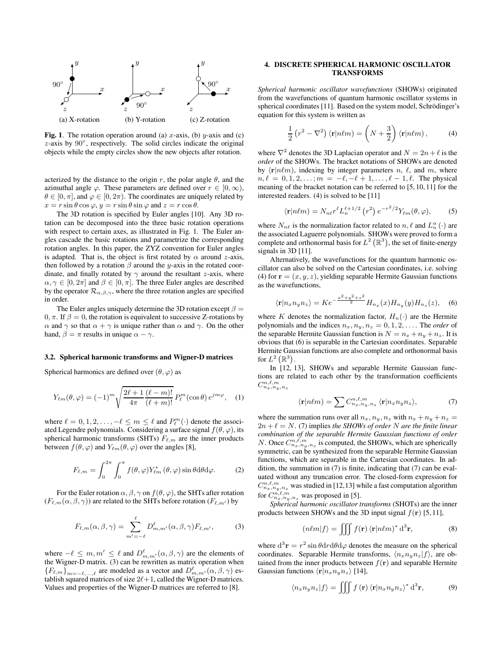

**Fig. 1.** The rotation operation around (a)  $x$ -axis, (b)  $y$ -axis and (c) z-axis by 90◦ , respectively. The solid circles indicate the original objects while the empty circles show the new objects after rotation.

acterized by the distance to the origin r, the polar angle  $\theta$ , and the azimuthal angle  $\varphi$ . These parameters are defined over  $r \in [0, \infty)$ ,  $\theta \in [0, \pi]$ , and  $\varphi \in [0, 2\pi)$ . The coordinates are uniquely related by  $x = r \sin \theta \cos \varphi$ ,  $y = r \sin \theta \sin \varphi$  and  $z = r \cos \theta$ .

The 3D rotation is specified by Euler angles [10]. Any 3D rotation can be decomposed into the three basic rotation operations with respect to certain axes, as illustrated in Fig. 1. The Euler angles cascade the basic rotations and parametrize the corresponding rotation angles. In this paper, the ZYZ convention for Euler angles is adapted. That is, the object is first rotated by  $\alpha$  around z-axis, then followed by a rotation  $\beta$  around the y-axis in the rotated coordinate, and finally rotated by  $\gamma$  around the resultant *z*-axis, where  $\alpha, \gamma \in [0, 2\pi]$  and  $\beta \in [0, \pi]$ . The three Euler angles are described by the operator  $\mathcal{R}_{\alpha,\beta,\gamma}$ , where the three rotation angles are specified in order.

The Euler angles uniquely determine the 3D rotation except  $\beta =$ 0,  $\pi$ . If  $\beta = 0$ , the rotation is equivalent to successive Z-rotations by  $\alpha$  and  $\gamma$  so that  $\alpha + \gamma$  is unique rather than  $\alpha$  and  $\gamma$ . On the other hand,  $\beta = \pi$  results in unique  $\alpha - \gamma$ .

#### 3.2. Spherical harmonic transforms and Wigner-D matrices

Spherical harmonics are defined over  $(\theta, \varphi)$  as

$$
Y_{\ell m}(\theta,\varphi) = (-1)^m \sqrt{\frac{2\ell+1}{4\pi} \frac{(\ell-m)!}{(\ell+m)!}} P_{\ell}^m(\cos\theta) e^{jm\varphi}, \quad (1)
$$

where  $\ell = 0, 1, 2, \ldots, -\ell \leq m \leq \ell$  and  $P_{\ell}^{m}(\cdot)$  denote the associated Legendre polynomials. Considering a surface signal  $f(\theta, \varphi)$ , its spherical harmonic transforms (SHTs)  $F_{\ell,m}$  are the inner products between  $f(\theta, \varphi)$  and  $Y_{\ell m}(\theta, \varphi)$  over the angles [8],

$$
F_{\ell,m} = \int_0^{2\pi} \int_0^{\pi} f(\theta,\varphi) Y_{\ell m}^* (\theta,\varphi) \sin \theta \, d\theta \, d\varphi. \tag{2}
$$

For the Euler rotation  $\alpha$ ,  $\beta$ ,  $\gamma$  on  $f(\theta, \varphi)$ , the SHTs after rotation  $(F_{\ell,m}(\alpha,\beta,\gamma))$  are related to the SHTs before rotation  $(F_{\ell,m'})$  by

$$
F_{\ell,m}(\alpha,\beta,\gamma) = \sum_{m'=-\ell}^{\ell} D_{m,m'}^{\ell}(\alpha,\beta,\gamma) F_{\ell,m'},
$$
 (3)

where  $-\ell \leq m, m' \leq \ell$  and  $D_{m,m'}^{\ell}(\alpha, \beta, \gamma)$  are the elements of the Wigner-D matrix. (3) can be rewritten as matrix operation when  ${F_{\ell,m}}_{m=-\ell,...,\ell}$  are modeled as a vector and  $D_{m,m'}^{\ell}(\alpha,\beta,\gamma)$  establish squared matrices of size  $2\ell+1$ , called the Wigner-D matrices. Values and properties of the Wigner-D matrices are referred to [8].

# 4. DISCRETE SPHERICAL HARMONIC OSCILLATOR TRANSFORMS

*Spherical harmonic oscillator wavefunctions* (SHOWs) originated from the wavefunctions of quantum harmonic oscillator systems in spherical coordinates [11]. Based on the system model, Schrödinger's equation for this system is written as

$$
\frac{1}{2}\left(r^2 - \nabla^2\right)\langle \mathbf{r}|n\ell m\rangle = \left(N + \frac{3}{2}\right)\langle \mathbf{r}|n\ell m\rangle, \tag{4}
$$

where  $\nabla^2$  denotes the 3D Laplacian operator and  $N = 2n + \ell$  is the *order* of the SHOWs. The bracket notations of SHOWs are denoted by  $\langle \mathbf{r}|n\ell m \rangle$ , indexing by integer parameters n,  $\ell$ , and m, where  $n, \ell = 0, 1, 2, \ldots; m = -\ell, -\ell + 1, \ldots, \ell - 1, \ell$ . The physical meaning of the bracket notation can be referred to [5, 10, 11] for the interested readers. (4) is solved to be [11]

$$
\langle \mathbf{r} | n\ell m \rangle = N_{n\ell} r^{\ell} L_n^{\ell+1/2} \left( r^2 \right) e^{-r^2/2} Y_{\ell m}(\theta, \varphi), \tag{5}
$$

where  $N_{n\ell}$  is the normalization factor related to  $n, \ell$  and  $L_n^{\alpha}(\cdot)$  are the associated Laguerre polynomials. SHOWs were proved to form a complete and orthonormal basis for  $L^2(\mathbb{R}^3)$ , the set of finite-energy signals in 3D [11].

Alternatively, the wavefunctions for the quantum harmonic oscillator can also be solved on the Cartesian coordinates, i.e. solving (4) for  $\mathbf{r} = (x, y, z)$ , yielding separable Hermite Gaussian functions as the wavefunctions,

$$
\langle \mathbf{r} | n_x n_y n_z \rangle = K e^{-\frac{x^2 + y^2 + z^2}{2}} H_{n_x}(x) H_{n_y}(y) H_{n_z}(z), \quad (6)
$$

where K denotes the normalization factor,  $H_n(\cdot)$  are the Hermite polynomials and the indices  $n_x, n_y, n_z = 0, 1, 2, \ldots$ . The *order* of the separable Hermite Gaussian function is  $N = n_x + n_y + n_z$ . It is obvious that (6) is separable in the Cartesian coordinates. Separable Hermite Gaussian functions are also complete and orthonormal basis for  $L^2\left(\mathbb{R}^3\right)$ .

In [12, 13], SHOWs and separable Hermite Gaussian functions are related to each other by the transformation coefficients  $C^{n,\ell,m}_{n_x,n_y,n_z}$ 

$$
\langle \mathbf{r} | n\ell m \rangle = \sum C_{n_x, n_y, n_z}^{n, \ell, m} \langle \mathbf{r} | n_x n_y n_z \rangle, \tag{7}
$$

where the summation runs over all  $n_x, n_y, n_z$  with  $n_x + n_y + n_z =$  $2n + \ell = N$ . (7) implies *the SHOWs of order* N are *the finite linear combination of the separable Hermite Gaussian functions of order N*. Once  $C_{n_x,n_y,n_z}^{n,\ell,m}$  is computed, the SHOWs, which are spherically symmetric, can be synthesized from the separable Hermite Gaussian functions, which are separable in the Cartesian coordinates. In addition, the summation in (7) is finite, indicating that (7) can be evaluated without any truncation error. The closed-form expression for  $C_{n_x,n_y,n_z}^{n,\ell,m}$  was studied in [12,13] while a fast computation algorithm for  $C_{n_x,n_y,n_z}^{n,\ell,m}$  was proposed in [5].

*Spherical harmonic oscillator transforms* (SHOTs) are the inner products between SHOWs and the 3D input signal  $f(\mathbf{r})$  [5, 11],

$$
(n\ell m|f\rangle = \iiint f(\mathbf{r}) \langle \mathbf{r}|n\ell m\rangle^* d^3 \mathbf{r},\tag{8}
$$

where  $d^3\mathbf{r} = r^2 \sin \theta dr d\theta d\varphi$  denotes the measure on the spherical coordinates. Separable Hermite transforms,  $\langle n_x n_y n_z | f \rangle$ , are obtained from the inner products between  $f(\mathbf{r})$  and separable Hermite Gaussian functions  $\langle \mathbf{r}|n_xn_yn_z \rangle$  [14],

$$
\langle n_x n_y n_z | f \rangle = \iiint f(\mathbf{r}) \langle \mathbf{r} | n_x n_y n_z \rangle^* \, \mathrm{d}^3 \mathbf{r},\tag{9}
$$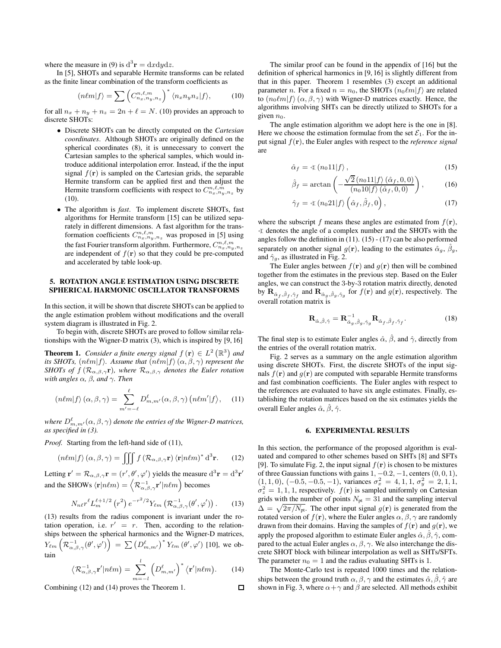where the measure in (9) is  $d^3\mathbf{r} = dxdydz$ .

In [5], SHOTs and separable Hermite transforms can be related as the finite linear combination of the transform coefficients as

$$
(n\ell m|f) = \sum \left( C_{n_x, n_y, n_z}^{n, \ell, m} \right)^* \langle n_x n_y n_z | f \rangle, \tag{10}
$$

for all  $n_x + n_y + n_z = 2n + \ell = N$ . (10) provides an approach to discrete SHOTs:

- Discrete SHOTs can be directly computed on the *Cartesian coordinates*. Although SHOTs are originally defined on the spherical coordinates (8), it is unnecessary to convert the Cartesian samples to the spherical samples, which would introduce additional interpolation error. Instead, if the the input signal  $f(\mathbf{r})$  is sampled on the Cartesian grids, the separable Hermite transform can be applied first and then adjust the Hermite transform coefficients with respect to  $C_{n_x,n_y,n_z}^{n,\ell,m}$  by (10).
- The algorithm is *fast*. To implement discrete SHOTs, fast algorithms for Hermite transform [15] can be utilized separately in different dimensions. A fast algorithm for the transformation coefficients  $C_{n_x,n_y,n_z}^{n,\ell,m}$  was proposed in [5] using the fast Fourier transform algorithm. Furthermore,  $C_{n_x,n_y,n_z}^{n,\ell,m}$ are independent of  $f(\mathbf{r})$  so that they could be pre-computed and accelerated by table look-up.

# 5. ROTATION ANGLE ESTIMATION USING DISCRETE SPHERICAL HARMONIC OSCILLATOR TRANSFORMS

In this section, it will be shown that discrete SHOTs can be applied to the angle estimation problem without modifications and the overall system diagram is illustrated in Fig. 2.

To begin with, discrete SHOTs are proved to follow similar relationships with the Wigner-D matrix (3), which is inspired by [9, 16]

**Theorem 1.** *Consider a finite energy signal*  $f(\mathbf{r}) \in L^2(\mathbb{R}^3)$  *and its SHOTs,*  $(n\ell m|f)$ . Assume that  $(n\ell m|f)$   $(\alpha, \beta, \gamma)$  represent the *SHOTs of*  $f$  ( $\mathcal{R}_{\alpha,\beta,\gamma}$ **r**)*, where*  $\mathcal{R}_{\alpha,\beta,\gamma}$  *denotes the Euler rotation with angles* α*,* β*, and* γ*. Then*

$$
(n\ell m|f\rangle(\alpha,\beta,\gamma) = \sum_{m'=-\ell}^{\ell} D_{m,m'}^{\ell}(\alpha,\beta,\gamma) (n\ell m'|f\rangle, \quad (11)
$$

where  $D^{\ell}_{m,m^{\prime}}(\alpha,\beta,\gamma)$  denote the entries of the Wigner-D matrices, *as specified in (3).*

*Proof.* Starting from the left-hand side of (11),

$$
(n\ell m|f\rangle(\alpha,\beta,\gamma) = \iiint f\left(\mathcal{R}_{\alpha,\beta,\gamma}\mathbf{r}\right)\langle\mathbf{r}|n\ell m\rangle^* d^3\mathbf{r}.
$$
 (12)

Letting  $\mathbf{r}' = \mathcal{R}_{\alpha,\beta,\gamma}\mathbf{r} = (r',\theta',\varphi')$  yields the measure  $d^3\mathbf{r} = d^3\mathbf{r}'$ and the SHOWs  $\langle \mathbf{r} | n\ell m \rangle = \left\langle \mathcal{R}_{\alpha,\beta,\gamma}^{-1} \mathbf{r}' | n\ell m \right\rangle$  becomes

$$
N_{n\ell}r^{\ell}L_{m}^{\ell+1/2}\left(r^{2}\right)e^{-r^{2}/2}Y_{\ell m}\left(\mathcal{R}_{\alpha,\beta,\gamma}^{-1}(\theta',\varphi')\right).
$$
 (13)

(13) results from the radius component is invariant under the rotation operation, i.e.  $r' = r$ . Then, according to the relationships between the spherical harmonics and the Wigner-D matrices,  $Y_{\ell m}\left(\mathcal{R}_{\alpha,\beta,\gamma}^{-1}(\theta',\varphi')\right) \ = \ \sum \left(D^{\ell}_{m,m'}\right)^* Y_{\ell m}\left(\theta',\varphi'\right)$  [10], we obtain

$$
\langle \mathcal{R}_{\alpha,\beta,\gamma}^{-1} \mathbf{r}' | n\ell m \rangle = \sum_{m=-l}^{l} \left( D_{m,m'}^{\ell} \right)^* \langle \mathbf{r}' | n\ell m \rangle.
$$
 (14)  
ng (12) and (14) proves the Theorem 1.

Combining (12) and (14) proves the Theorem 1.

The similar proof can be found in the appendix of [16] but the definition of spherical harmonics in [9, 16] is slightly different from that in this paper. Theorem 1 resembles (3) except an additional parameter n. For a fixed  $n = n_0$ , the SHOTs  $(n_0 \ell m | f)$  are related to  $(n_0\ell m|f\rangle(\alpha,\beta,\gamma)$  with Wigner-D matrices exactly. Hence, the algorithms involving SHTs can be directly utilized to SHOTs for a given  $n_0$ .

The angle estimation algorithm we adopt here is the one in [8]. Here we choose the estimation formulae from the set  $\mathcal{E}_1$ . For the input signal f(r), the Euler angles with respect to the *reference signal* are

$$
\hat{\alpha}_f = \langle \langle n_0 1 1 | f \rangle, \tag{15}
$$

$$
\hat{\beta}_f = \arctan\left(-\frac{\sqrt{2} (n_0 11 | f) (\hat{\alpha}_f, 0, 0)}{(n_0 10 | f) (\hat{\alpha}_f, 0, 0)}\right),\tag{16}
$$

$$
\hat{\gamma}_f = \langle (n_0 21 | f \rangle \left( \hat{\alpha}_f, \hat{\beta}_f, 0 \right), \tag{17}
$$

where the subscript f means these angles are estimated from  $f(\mathbf{r})$ ,  $\triangleleft$  denotes the angle of a complex number and the SHOTs with the angles follow the definition in (11). (15) - (17) can be also performed separately on another signal  $g(\mathbf{r})$ , leading to the estimates  $\hat{\alpha}_q$ ,  $\hat{\beta}_q$ , and  $\hat{\gamma}_q$ , as illustrated in Fig. 2.

The Euler angles between  $f(\mathbf{r})$  and  $g(\mathbf{r})$  then will be combined together from the estimates in the previous step. Based on the Euler angles, we can construct the 3-by-3 rotation matrix directly, denoted by  $\mathbf{R}_{\hat{\alpha}_f, \hat{\beta}_f, \hat{\gamma}_f}$  and  $\mathbf{R}_{\hat{\alpha}_g, \hat{\beta}_g, \hat{\gamma}_g}$  for  $f(\mathbf{r})$  and  $g(\mathbf{r})$ , respectively. The overall rotation matrix is

$$
\mathbf{R}_{\hat{\alpha},\hat{\beta},\hat{\gamma}} = \mathbf{R}_{\hat{\alpha}_g,\hat{\beta}_g,\hat{\gamma}_g}^{-1} \mathbf{R}_{\hat{\alpha}_f,\hat{\beta}_f,\hat{\gamma}_f}.
$$
 (18)

The final step is to estimate Euler angles  $\hat{\alpha}$ ,  $\hat{\beta}$ , and  $\hat{\gamma}$ , directly from the entries of the overall rotation matrix.

Fig. 2 serves as a summary on the angle estimation algorithm using discrete SHOTs. First, the discrete SHOTs of the input signals  $f(\mathbf{r})$  and  $g(\mathbf{r})$  are computed with separable Hermite transforms and fast combination coefficients. The Euler angles with respect to the references are evaluated to have six angle estimates. Finally, establishing the rotation matrices based on the six estimates yields the overall Euler angles  $\hat{\alpha}$ ,  $\hat{\beta}$ ,  $\hat{\gamma}$ .

# 6. EXPERIMENTAL RESULTS

In this section, the performance of the proposed algorithm is evaluated and compared to other schemes based on SHTs [8] and SFTs [9]. To simulate Fig. 2, the input signal  $f(r)$  is chosen to be mixtures of three Gaussian functions with gains  $1, -0.2, -1$ , centers  $(0, 0, 1)$ ,  $(1, 1, 0), (-0.5, -0.5, -1),$  variances  $\sigma_x^2 = 4, 1, 1, \sigma_y^2 = 2, 1, 1,$  $\sigma_z^2 = 1, 1, 1$ , respectively.  $f(\mathbf{r})$  is sampled uniformly on Cartesian grids with the number of points  $N_{pt} = 31$  and the sampling interval  $\Delta = \sqrt{2\pi/N_{\text{pt}}}$ . The other input signal  $g(\mathbf{r})$  is generated from the rotated version of  $f(\mathbf{r})$ , where the Euler angles  $\alpha, \beta, \gamma$  are randomly drawn from their domains. Having the samples of  $f(\mathbf{r})$  and  $g(\mathbf{r})$ , we apply the proposed algorithm to estimate Euler angles  $\hat{\alpha}, \hat{\beta}, \hat{\gamma}$ , compared to the actual Euler angles  $\alpha$ ,  $\beta$ ,  $\gamma$ . We also interchange the discrete SHOT block with bilinear interpolation as well as SHTs/SFTs. The parameter  $n_0 = 1$  and the radius evaluating SHTs is 1.

The Monte-Carlo test is repeated 1000 times and the relationships between the ground truth  $\alpha, \beta, \gamma$  and the estimates  $\hat{\alpha}, \hat{\beta}, \hat{\gamma}$  are shown in Fig. 3, where  $\alpha + \gamma$  and  $\beta$  are selected. All methods exhibit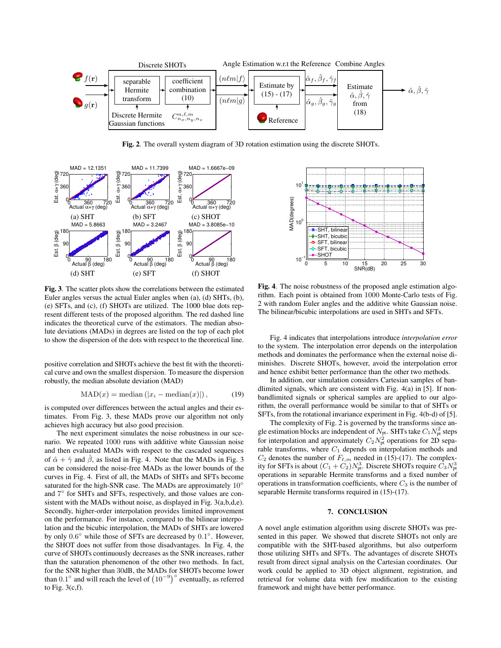

Fig. 2. The overall system diagram of 3D rotation estimation using the discrete SHOTs.



Fig. 3. The scatter plots show the correlations between the estimated Euler angles versus the actual Euler angles when (a), (d) SHTs, (b), (e) SFTs, and (c), (f) SHOTs are utilized. The 1000 blue dots represent different tests of the proposed algorithm. The red dashed line indicates the theoretical curve of the estimators. The median absolute deviations (MADs) in degrees are listed on the top of each plot to show the dispersion of the dots with respect to the theoretical line.

positive correlation and SHOTs achieve the best fit with the theoretical curve and own the smallest dispersion. To measure the dispersion robustly, the median absolute deviation (MAD)

$$
MAD(x) = \text{median}(|x_i - \text{median}(x)|), \tag{19}
$$

is computed over differences between the actual angles and their estimates. From Fig. 3, these MADs prove our algorithm not only achieves high accuracy but also good precision.

The next experiment simulates the noise robustness in our scenario. We repeated 1000 runs with additive white Gaussian noise and then evaluated MADs with respect to the cascaded sequences of  $\hat{\alpha} + \hat{\gamma}$  and  $\hat{\beta}$ , as listed in Fig. 4. Note that the MADs in Fig. 3 can be considered the noise-free MADs as the lower bounds of the curves in Fig. 4. First of all, the MADs of SHTs and SFTs become saturated for the high-SNR case. The MADs are approximately 10° and  $7^\circ$  for SHTs and SFTs, respectively, and those values are consistent with the MADs without noise, as displayed in Fig. 3(a,b,d,e). Secondly, higher-order interpolation provides limited improvement on the performance. For instance, compared to the bilinear interpolation and the bicubic interpolation, the MADs of SHTs are lowered by only  $0.6^{\circ}$  while those of SFTs are decreased by  $0.1^{\circ}$ . However, the SHOT does not suffer from those disadvantages. In Fig. 4, the curve of SHOTs continuously decreases as the SNR increases, rather than the saturation phenomenon of the other two methods. In fact, for the SNR higher than 30dB, the MADs for SHOTs become lower than  $0.1^{\circ}$  and will reach the level of  $(10^{-9})^{\circ}$  eventually, as referred to Fig.  $3(c,f)$ .



Fig. 4. The noise robustness of the proposed angle estimation algorithm. Each point is obtained from 1000 Monte-Carlo tests of Fig. 2 with random Euler angles and the additive white Gaussian noise. The bilinear/bicubic interpolations are used in SHTs and SFTs.

Fig. 4 indicates that interpolations introduce *interpolation error* to the system. The interpolation error depends on the interpolation methods and dominates the performance when the external noise diminishes. Discrete SHOTs, however, avoid the interpolation error and hence exhibit better performance than the other two methods.

In addition, our simulation considers Cartesian samples of bandlimited signals, which are consistent with Fig.  $4(a)$  in [5]. If nonbandlimited signals or spherical samples are applied to our algorithm, the overall performance would be similar to that of SHTs or SFTs, from the rotational invariance experiment in Fig. 4(b-d) of [5].

The complexity of Fig. 2 is governed by the transforms since angle estimation blocks are independent of  $N_{\text{pt}}$ . SHTs take  $C_1 N_{\text{pt}}^2$  steps for interpolation and approximately  $C_2 N_{pt}^2$  operations for 2D separable transforms, where  $C_1$  depends on interpolation methods and  $C_2$  denotes the number of  $F_{\ell,m}$  needed in (15)-(17). The complexity for SFTs is about  $(C_1 + C_2)N_{\text{pt}}^3$ . Discrete SHOTs require  $\tilde{C}_3 N_{\text{pt}}^3$ operations in separable Hermite transforms and a fixed number of operations in transformation coefficients, where  $C_3$  is the number of separable Hermite transforms required in (15)-(17).

# 7. CONCLUSION

A novel angle estimation algorithm using discrete SHOTs was presented in this paper. We showed that discrete SHOTs not only are compatible with the SHT-based algorithms, but also outperform those utilizing SHTs and SFTs. The advantages of discrete SHOTs result from direct signal analysis on the Cartesian coordinates. Our work could be applied to 3D object alignment, registration, and retrieval for volume data with few modification to the existing framework and might have better performance.